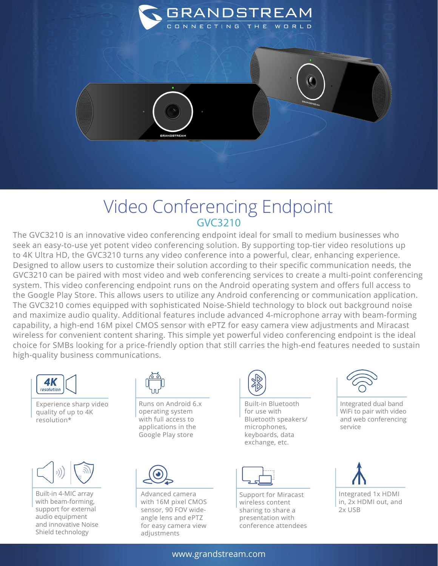

## Video Conferencing Endpoint GVC3210

The GVC3210 is an innovative video conferencing endpoint ideal for small to medium businesses who seek an easy-to-use yet potent video conferencing solution. By supporting top-tier video resolutions up to 4K Ultra HD, the GVC3210 turns any video conference into a powerful, clear, enhancing experience. Designed to allow users to customize their solution according to their specific communication needs, the GVC3210 can be paired with most video and web conferencing services to create a multi-point conferencing system. This video conferencing endpoint runs on the Android operating system and offers full access to the Google Play Store. This allows users to utilize any Android conferencing or communication application. The GVC3210 comes equipped with sophisticated Noise-Shield technology to block out background noise and maximize audio quality. Additional features include advanced 4-microphone array with beam-forming capability, a high-end 16M pixel CMOS sensor with ePTZ for easy camera view adjustments and Miracast wireless for convenient content sharing. This simple yet powerful video conferencing endpoint is the ideal choice for SMBs looking for a price-friendly option that still carries the high-end features needed to sustain high-quality business communications.

![](_page_0_Figure_3.jpeg)

Experience sharp video quality of up to 4K resolution\*

![](_page_0_Picture_5.jpeg)

Built-in 4-MIC array with beam-forming, support for external audio equipment and innovative Noise Shield technology

![](_page_0_Picture_7.jpeg)

Runs on Android 6.x operating system with full access to applications in the Google Play store

![](_page_0_Picture_9.jpeg)

Advanced camera with 16M pixel CMOS sensor, 90 FOV wideangle lens and ePTZ for easy camera view adjustments

![](_page_0_Picture_11.jpeg)

Built-in Bluetooth for use with Bluetooth speakers/ microphones, keyboards, data exchange, etc.

![](_page_0_Picture_13.jpeg)

Support for Miracast wireless content sharing to share a presentation with conference attendees

![](_page_0_Picture_15.jpeg)

Integrated dual band WiFi to pair with video and web conferencing service

![](_page_0_Picture_17.jpeg)